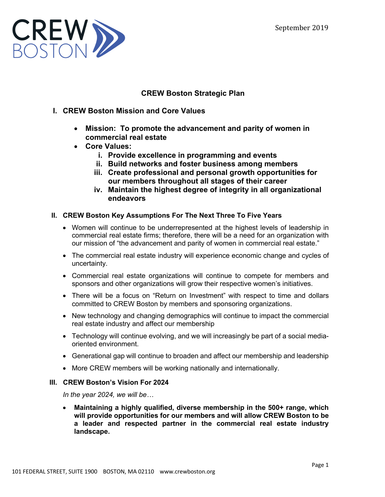

# **CREW Boston Strategic Plan**

- **I. CREW Boston Mission and Core Values**
	- **Mission: To promote the advancement and parity of women in commercial real estate**
	- **Core Values:**
		- **i. Provide excellence in programming and events**
		- **ii. Build networks and foster business among members**
		- **iii. Create professional and personal growth opportunities for our members throughout all stages of their career**
		- **iv. Maintain the highest degree of integrity in all organizational endeavors**

## **II. CREW Boston Key Assumptions For The Next Three To Five Years**

- Women will continue to be underrepresented at the highest levels of leadership in commercial real estate firms; therefore, there will be a need for an organization with our mission of "the advancement and parity of women in commercial real estate."
- The commercial real estate industry will experience economic change and cycles of uncertainty.
- Commercial real estate organizations will continue to compete for members and sponsors and other organizations will grow their respective women's initiatives.
- There will be a focus on "Return on Investment" with respect to time and dollars committed to CREW Boston by members and sponsoring organizations.
- New technology and changing demographics will continue to impact the commercial real estate industry and affect our membership
- Technology will continue evolving, and we will increasingly be part of a social mediaoriented environment.
- Generational gap will continue to broaden and affect our membership and leadership
- More CREW members will be working nationally and internationally.

## **III. CREW Boston's Vision For 2024**

*In the year 2024, we will be…*

• **Maintaining a highly qualified, diverse membership in the 500+ range, which will provide opportunities for our members and will allow CREW Boston to be a leader and respected partner in the commercial real estate industry landscape.**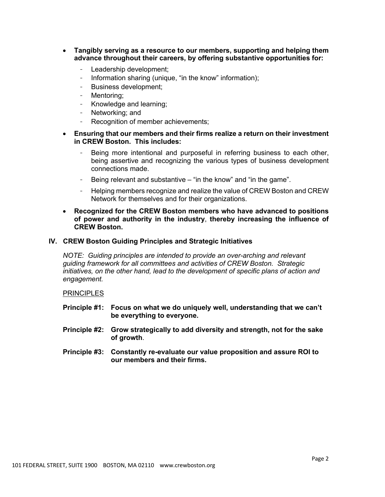- **Tangibly serving as a resource to our members, supporting and helping them advance throughout their careers, by offering substantive opportunities for:**
	- Leadership development;
	- Information sharing (unique, "in the know" information);
	- Business development;
	- Mentoring;
	- Knowledge and learning;
	- Networking; and
	- Recognition of member achievements;
- **Ensuring that our members and their firms realize a return on their investment in CREW Boston. This includes:**
	- Being more intentional and purposeful in referring business to each other, being assertive and recognizing the various types of business development connections made.
	- Being relevant and substantive  $-$  "in the know" and "in the game".
	- Helping members recognize and realize the value of CREW Boston and CREW Network for themselves and for their organizations.
- **Recognized for the CREW Boston members who have advanced to positions of power and authority in the industry**, **thereby increasing the influence of CREW Boston.**

### **IV. CREW Boston Guiding Principles and Strategic Initiatives**

*NOTE: Guiding principles are intended to provide an over-arching and relevant guiding framework for all committees and activities of CREW Boston. Strategic initiatives, on the other hand, lead to the development of specific plans of action and engagement.*

#### **PRINCIPLES**

- **Principle #1: Focus on what we do uniquely well, understanding that we can't be everything to everyone.**
- **Principle #2: Grow strategically to add diversity and strength, not for the sake of growth**.
- **Principle #3: Constantly re-evaluate our value proposition and assure ROI to our members and their firms.**